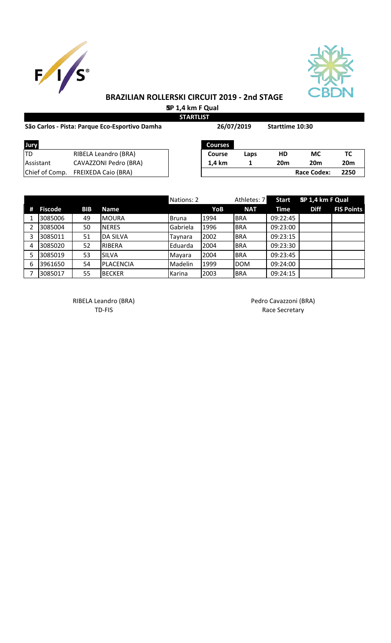



# **BRAZILIAN ROLLERSKI CIRCUIT 2019 - 2nd STAGE**

 **SP 1,4 km F Qual STARTLIST**

| São Carlos - Pista: Parque Eco-Esportivo Damha |                            | 26/07/2019     |      | Starttime 10:30 |                    |                 |
|------------------------------------------------|----------------------------|----------------|------|-----------------|--------------------|-----------------|
| Jury                                           |                            | <b>Courses</b> |      |                 |                    |                 |
| ltd                                            | RIBELA Leandro (BRA)       | <b>Course</b>  | Laps | HD              | <b>MC</b>          | TC              |
| Assistant                                      | CAVAZZONI Pedro (BRA)      | 1.4 km         |      | 20 <sub>m</sub> | <b>20m</b>         | 20 <sub>m</sub> |
| Chief of Comp.                                 | <b>FREIXEDA Caio (BRA)</b> |                |      |                 | <b>Race Codex:</b> | 2250            |

|   |                |            |                 | Nations: 2   |      | Athletes: 7 | <b>Start</b> | SP 1,4 km F Qual |                   |
|---|----------------|------------|-----------------|--------------|------|-------------|--------------|------------------|-------------------|
| # | <b>Fiscode</b> | <b>BIB</b> | Name            |              | YoB  | <b>NAT</b>  | Time         | <b>Diff</b>      | <b>FIS Points</b> |
|   | 3085006        | 49         | <b>MOURA</b>    | <b>Bruna</b> | 1994 | <b>BRA</b>  | 09:22:45     |                  |                   |
|   | 3085004        | 50         | <b>NERES</b>    | Gabriela     | 1996 | <b>BRA</b>  | 09:23:00     |                  |                   |
| 3 | 3085011        | 51         | <b>DA SILVA</b> | Tavnara      | 2002 | <b>BRA</b>  | 09:23:15     |                  |                   |
| 4 | 3085020        | 52         | <b>RIBERA</b>   | Eduarda      | 2004 | <b>BRA</b>  | 09:23:30     |                  |                   |
|   | 3085019        | 53         | <b>SILVA</b>    | Mayara       | 2004 | <b>BRA</b>  | 09:23:45     |                  |                   |
| 6 | 3961650        | 54         | PLACENCIA       | Madelin      | 1999 | <b>DOM</b>  | 09:24:00     |                  |                   |
|   | 3085017        | 55         | <b>BECKER</b>   | Karina       | 2003 | <b>BRA</b>  | 09:24:15     |                  |                   |

RIBELA Leandro (BRA) and a control of the Pedro Cavazzoni (BRA)

TD-FIS Race Secretary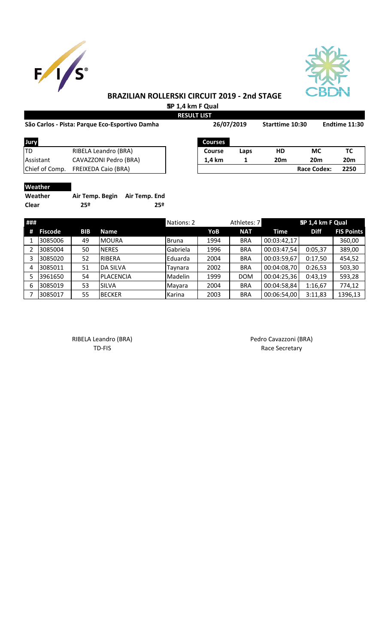



## **BRAZILIAN ROLLERSKI CIRCUIT 2019 - 2nd STAGE**

 **SP 1,4 km F Qual**

| São Carlos - Pista: Parque Eco-Esportivo Damha |                            |                | 26/07/2019 |                 | Starttime 10:30    | Endtime 11:30   |  |
|------------------------------------------------|----------------------------|----------------|------------|-----------------|--------------------|-----------------|--|
| Jury                                           |                            | <b>Courses</b> |            |                 |                    |                 |  |
| <b>ITD</b>                                     | RIBELA Leandro (BRA)       | Course         | Laps       | HD              | <b>MC</b>          | ТC              |  |
| Assistant                                      | CAVAZZONI Pedro (BRA)      | 1.4 km         |            | 20 <sub>m</sub> | 20 <sub>m</sub>    | 20 <sub>m</sub> |  |
| Chief of Comp.                                 | <b>FREIXEDA Caio (BRA)</b> |                |            |                 | <b>Race Codex:</b> | 2250            |  |

### **Weather**

| Weather | Air Temp. Begin Air Temp. End |     |
|---------|-------------------------------|-----|
| Clear   | 25º                           | 25º |

| ### |                |            |                  | Nations: 2   |      | Athletes: 7 |             | SP 1,4 km F Qual |                   |
|-----|----------------|------------|------------------|--------------|------|-------------|-------------|------------------|-------------------|
| #   | <b>Fiscode</b> | <b>BIB</b> | <b>Name</b>      |              | YoB  | <b>NAT</b>  | Time        | <b>Diff</b>      | <b>FIS Points</b> |
|     | 3085006        | 49         | <b>MOURA</b>     | <b>Bruna</b> | 1994 | <b>BRA</b>  | 00:03:42,17 |                  | 360,00            |
|     | 3085004        | 50         | <b>NERES</b>     | Gabriela     | 1996 | <b>BRA</b>  | 00:03:47,54 | 0:05,37          | 389,00            |
|     | 3085020        | 52         | <b>RIBERA</b>    | Eduarda      | 2004 | <b>BRA</b>  | 00:03:59,67 | 0:17,50          | 454,52            |
| 4   | 3085011        | 51         | <b>DA SILVA</b>  | Taynara      | 2002 | <b>BRA</b>  | 00:04:08,70 | 0:26,53          | 503,30            |
|     | 3961650        | 54         | <b>PLACENCIA</b> | Madelin      | 1999 | <b>DOM</b>  | 00:04:25,36 | 0:43,19          | 593,28            |
| 6   | 3085019        | 53         | <b>SILVA</b>     | Mayara       | 2004 | <b>BRA</b>  | 00:04:58,84 | 1:16,67          | 774,12            |
|     | 3085017        | 55         | <b>BECKER</b>    | Karina       | 2003 | <b>BRA</b>  | 00:06:54,00 | 3:11,83          | 1396,13           |

RIBELA Leandro (BRA) <br>
TD-FIS Race Secretary

Race Secretary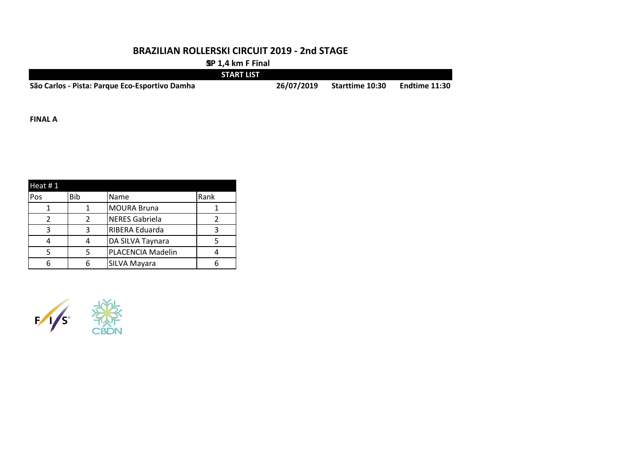#### **BRAZILIAN ROLLERSKI CIRCUIT 2019 - 2nd STAGE**

 **SP 1,4 km F Final**

|                                                | <b>START LIST</b> |            |                 |                      |
|------------------------------------------------|-------------------|------------|-----------------|----------------------|
| São Carlos - Pista: Parque Eco-Esportivo Damha |                   | 26/07/2019 | Starttime 10:30 | <b>Endtime 11:30</b> |

**FINAL A**

| Heat $# 1$ |            |                       |      |
|------------|------------|-----------------------|------|
| Pos        | <b>Bib</b> | Name                  | Rank |
|            |            | <b>MOURA Bruna</b>    |      |
|            |            | <b>NERES Gabriela</b> |      |
|            | ર          | RIBERA Eduarda        |      |
|            |            | DA SILVA Taynara      |      |
|            |            | PLACENCIA Madelin     |      |
|            |            | SILVA Mayara          |      |